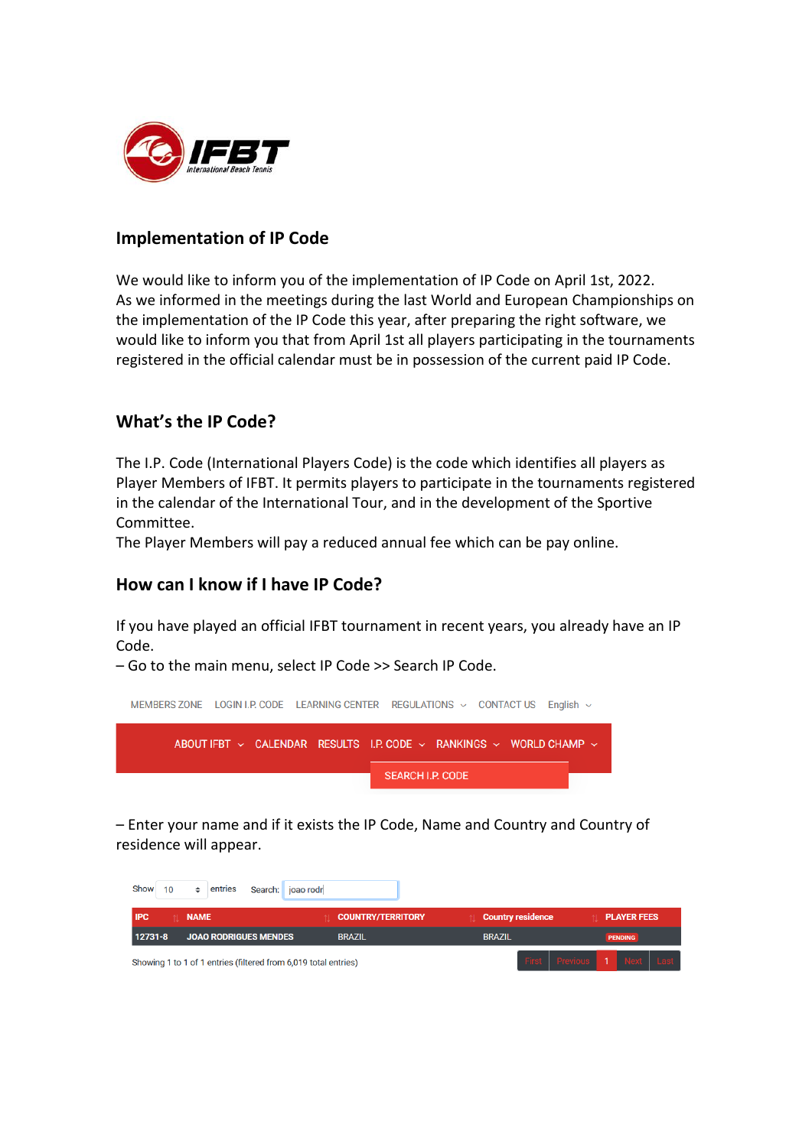

### **Implementation of IP Code**

We would like to inform you of the implementation of IP Code on April 1st, 2022. As we informed in the meetings during the last World and European Championships on the implementation of the IP Code this year, after preparing the right software, we would like to inform you that from April 1st all players participating in the tournaments registered in the official calendar must be in possession of the current paid IP Code.

## **What's the IP Code?**

The I.P. Code (International Players Code) is the code which identifies all players as Player Members of IFBT. It permits players to participate in the tournaments registered in the calendar of the International Tour, and in the development of the Sportive Committee.

The Player Members will pay a reduced annual fee which can be pay online.

## **How can I know if I have IP Code?**

If you have played an official IFBT tournament in recent years, you already have an IP Code.

– Go to the main menu, select IP Code >> Search IP Code.



– Enter your name and if it exists the IP Code, Name and Country and Country of residence will appear.

| <b>IPC</b>                              |  | <b>NAME</b> |               |                                                                 | <b>COUNTRY/TERRITORY</b> | <b>Country residence</b>   |  | <b>PLAYER FEES</b> |  |
|-----------------------------------------|--|-------------|---------------|-----------------------------------------------------------------|--------------------------|----------------------------|--|--------------------|--|
| 12731-8<br><b>JOAO RODRIGUES MENDES</b> |  |             | <b>BRAZIL</b> | <b>BRAZIL</b>                                                   |                          | <b>PENDING</b>             |  |                    |  |
|                                         |  |             |               | Showing 1 to 1 of 1 entries (filtered from 6,019 total entries) |                          | First Previous 1 Next Last |  |                    |  |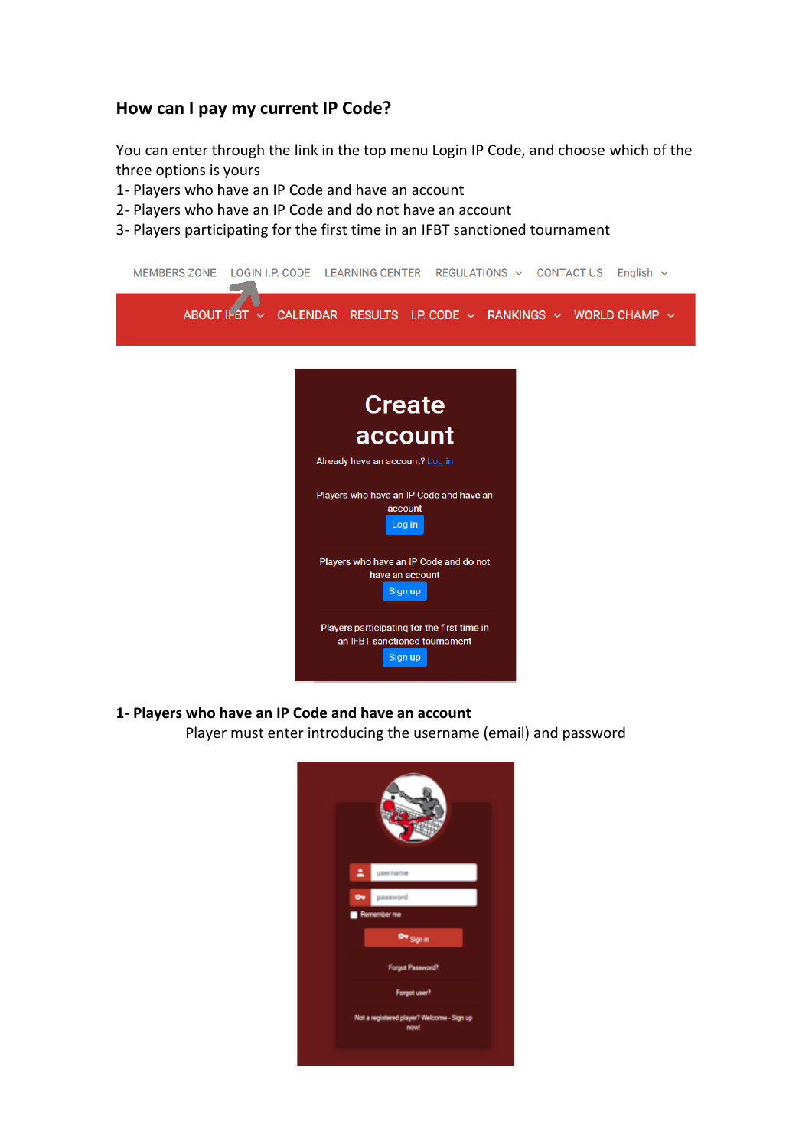### **How can I pay my current IP Code?**

You can enter through the link in the top menu Login IP Code, and choose which of the three options is yours

- 1- Players who have an IP Code and have an account
- 2- Players who have an IP Code and do not have an account
- 3- Players participating for the first time in an IFBT sanctioned tournament



#### **1- Players who have an IP Code and have an account**

Player must enter introducing the username (email) and password

| ٠.        | username                                           |
|-----------|----------------------------------------------------|
| $\bullet$ | password                                           |
|           | Remember me                                        |
|           | Ow <sub>Sign in</sub>                              |
|           | Forgot Password?                                   |
|           | Forgot user?                                       |
|           | Not a registered player? Welcome - Sign up<br>now! |
|           |                                                    |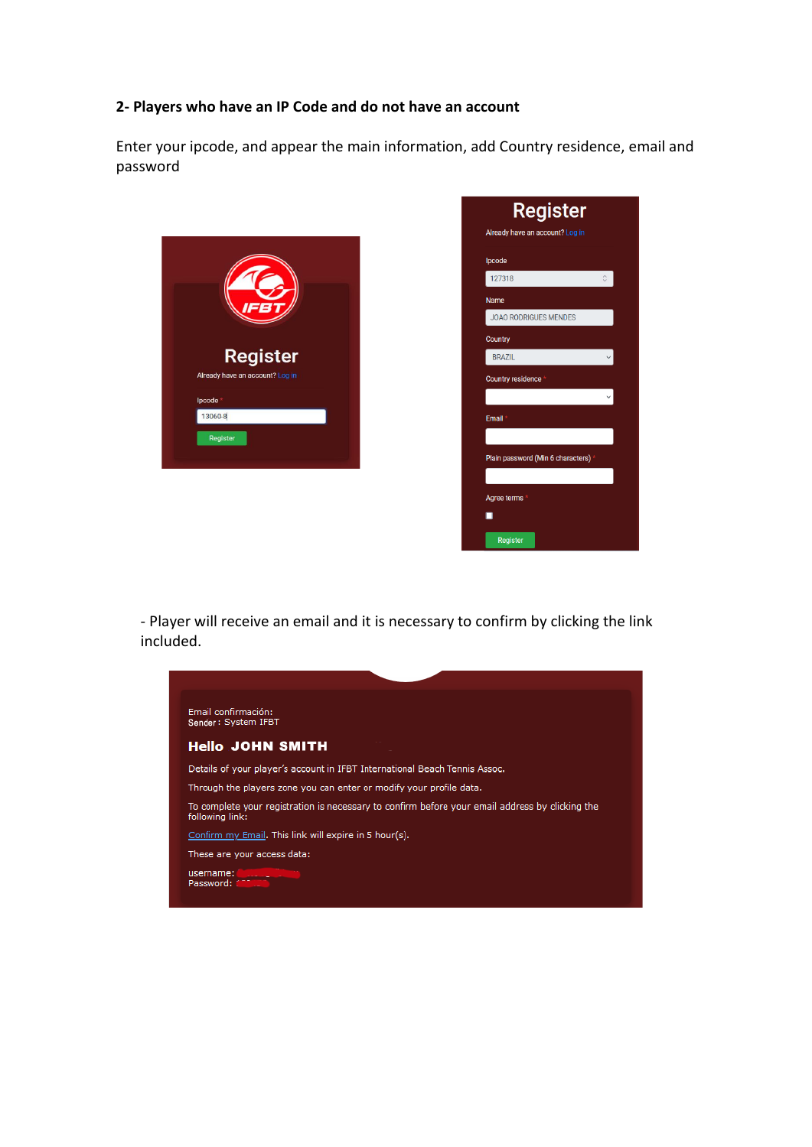#### **2- Players who have an IP Code and do not have an account**

Enter your ipcode, and appear the main information, add Country residence, email and password





- Player will receive an email and it is necessary to confirm by clicking the link included.

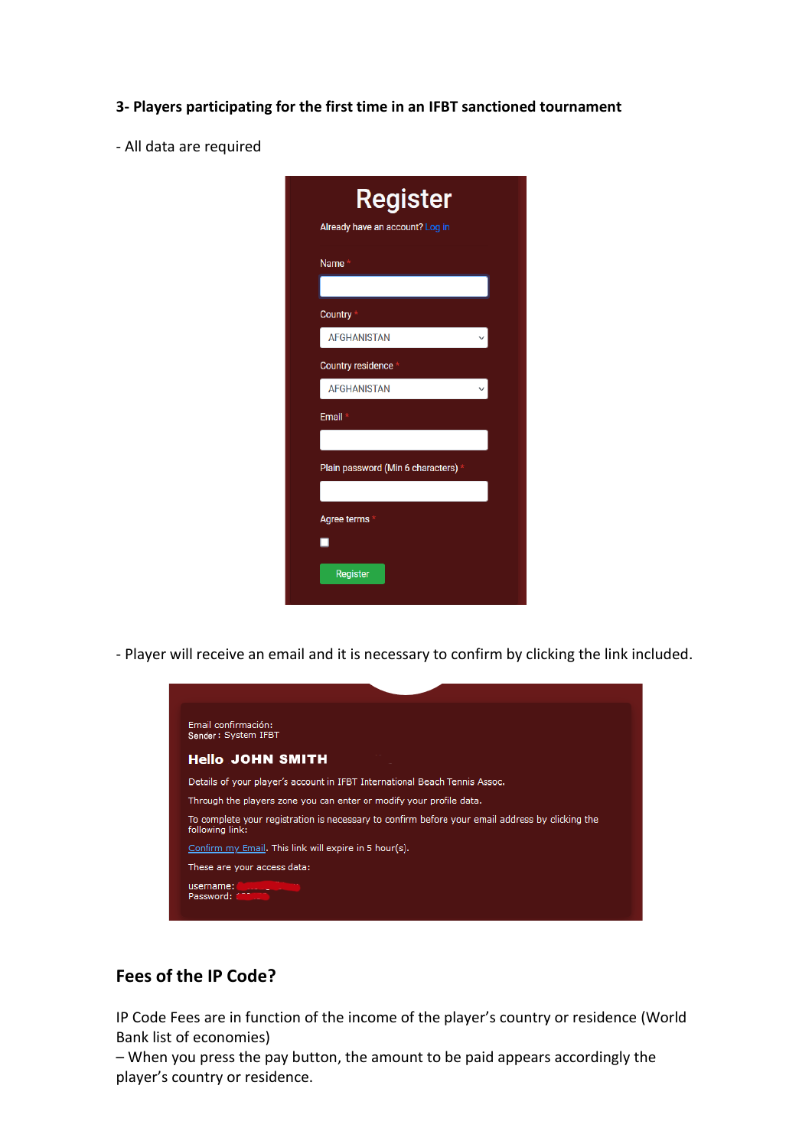- **3- Players participating for the first time in an IFBT sanctioned tournament**
- All data are required

| <b>Register</b>                   |  |
|-----------------------------------|--|
| Already have an account? Log in   |  |
| Name <sup>®</sup>                 |  |
|                                   |  |
| Country                           |  |
| <b>AFGHANISTAN</b>                |  |
| <b>Country residence</b>          |  |
| <b>AFGHANISTAN</b>                |  |
| Email                             |  |
|                                   |  |
| Plain password (Min 6 characters) |  |
|                                   |  |
| Agree terms                       |  |
|                                   |  |
| <b>Register</b>                   |  |

- Player will receive an email and it is necessary to confirm by clicking the link included.



### **Fees of the IP Code?**

IP Code Fees are in function of the income of the player's country or residence (World Bank list of economies)

– When you press the pay button, the amount to be paid appears accordingly the player's country or residence.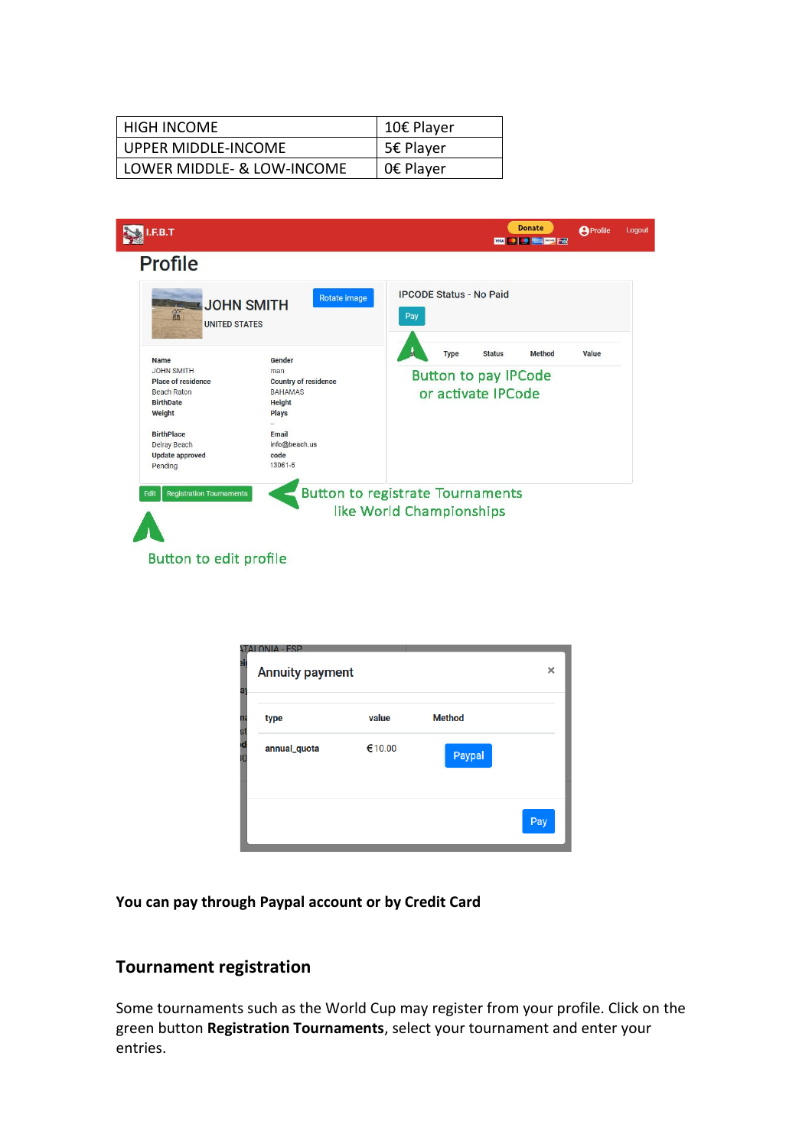| <b>HIGH INCOME</b>         | 10€ Player |
|----------------------------|------------|
| UPPER MIDDLE-INCOME        | 5€ Player  |
| LOWER MIDDLE- & LOW-INCOME | 0€ Player  |



| aj<br>а | ONIA - ESP<br><b>Annuity payment</b> |        |               |     |  |  |  |  |  |  |
|---------|--------------------------------------|--------|---------------|-----|--|--|--|--|--|--|
| n<br>S  | type                                 | value  | <b>Method</b> |     |  |  |  |  |  |  |
| τ       | annual_quota                         | €10.00 | Paypal        |     |  |  |  |  |  |  |
|         |                                      |        |               | Pay |  |  |  |  |  |  |

**You can pay through Paypal account or by Credit Card**

## **Tournament registration**

Some tournaments such as the World Cup may register from your profile. Click on the green button **Registration Tournaments**, select your tournament and enter your entries.